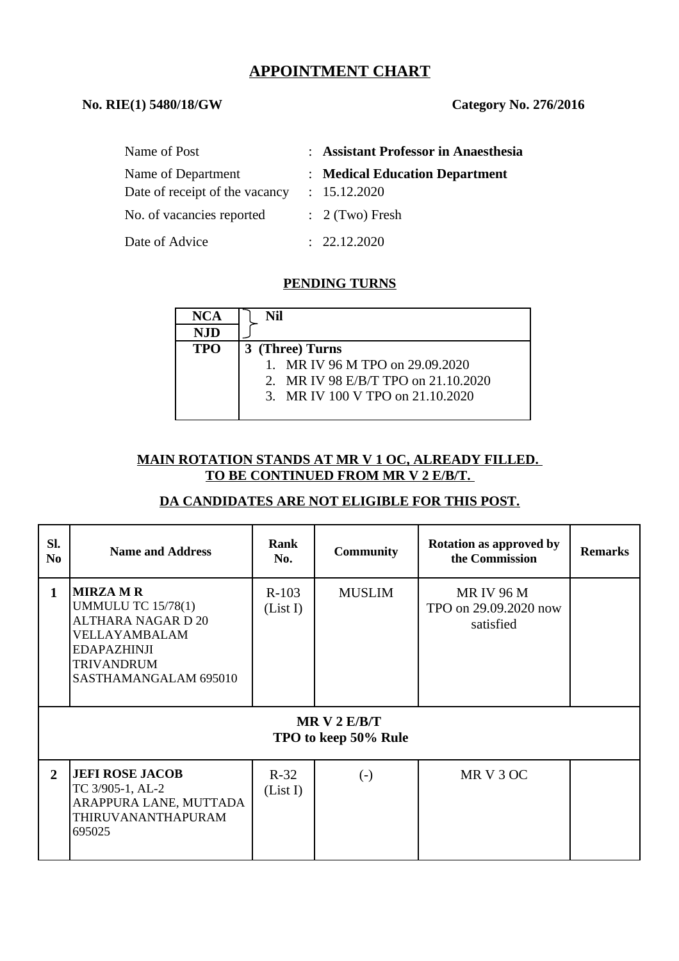# **APPOINTMENT CHART**

#### **No. RIE(1) 5480/18/GW Category No. 276/2016**

| Name of Post                                         | : Assistant Professor in Anaesthesia           |
|------------------------------------------------------|------------------------------------------------|
| Name of Department<br>Date of receipt of the vacancy | : Medical Education Department<br>: 15.12.2020 |
| No. of vacancies reported                            | $\therefore$ 2 (Two) Fresh                     |
| Date of Advice                                       | : 22.12.2020                                   |

### **PENDING TURNS**

| <b>NCA</b> | Nil                                 |
|------------|-------------------------------------|
| <b>NJD</b> |                                     |
| <b>TPO</b> | 3 (Three) Turns                     |
|            | 1. MR IV 96 M TPO on 29.09.2020     |
|            | 2. MR IV 98 E/B/T TPO on 21.10.2020 |
|            | 3. MR IV 100 V TPO on 21.10.2020    |
|            |                                     |

### **MAIN ROTATION STANDS AT MR V 1 OC, ALREADY FILLED. TO BE CONTINUED FROM MR V 2 E/B/T.**

### **DA CANDIDATES ARE NOT ELIGIBLE FOR THIS POST.**

| SI.<br>N <sub>0</sub> | <b>Name and Address</b>                                                                                                                                         | Rank<br>No.         | Community                                          | <b>Rotation as approved by</b><br>the Commission       | <b>Remarks</b> |
|-----------------------|-----------------------------------------------------------------------------------------------------------------------------------------------------------------|---------------------|----------------------------------------------------|--------------------------------------------------------|----------------|
| $\mathbf{1}$          | <b>MIRZA M R</b><br><b>UMMULU TC 15/78(1)</b><br><b>ALTHARA NAGAR D 20</b><br>VELLAYAMBALAM<br><b>EDAPAZHINJI</b><br><b>TRIVANDRUM</b><br>SASTHAMANGALAM 695010 | $R-103$<br>(List I) | <b>MUSLIM</b><br>MRV2E/B/T<br>TPO to keep 50% Rule | <b>MRIV 96 M</b><br>TPO on 29.09.2020 now<br>satisfied |                |
| $\overline{2}$        | <b>JEFI ROSE JACOB</b><br>TC 3/905-1, AL-2<br>ARAPPURA LANE, MUTTADA<br>THIRUVANANTHAPURAM<br>695025                                                            | $R-32$<br>(List I)  | $\left( -\right)$                                  | MR V 3 OC                                              |                |